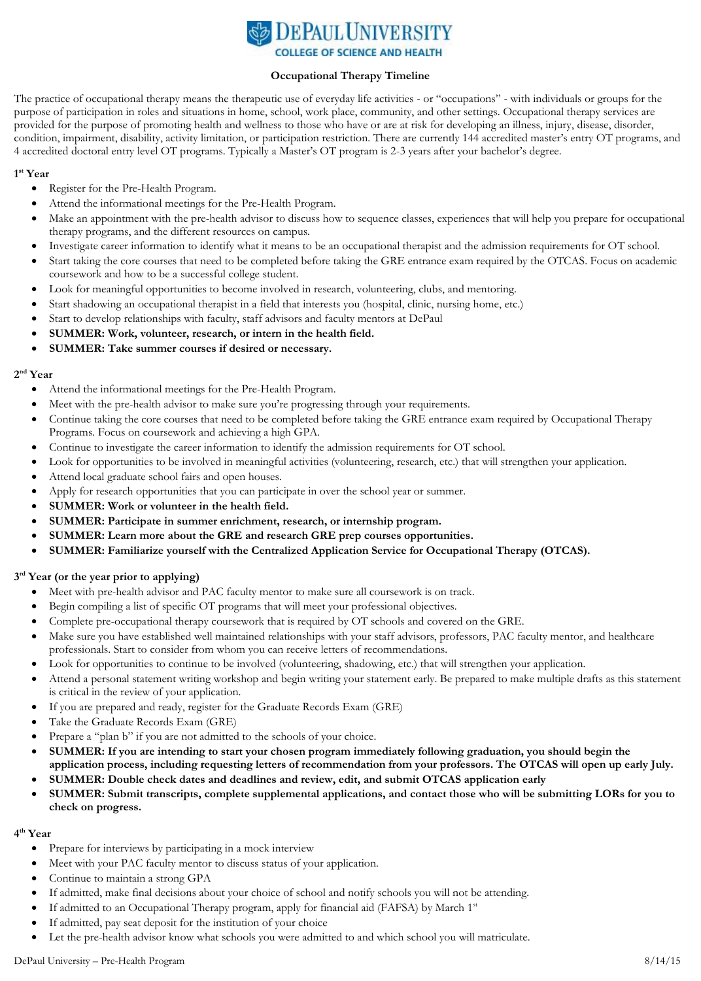

#### **Occupational Therapy Timeline**

The practice of occupational therapy means the therapeutic use of everyday life activities - or "occupations" - with individuals or groups for the purpose of participation in roles and situations in home, school, work place, community, and other settings. Occupational therapy services are provided for the purpose of promoting health and wellness to those who have or are at risk for developing an illness, injury, disease, disorder, condition, impairment, disability, activity limitation, or participation restriction. There are currently 144 accredited master's entry OT programs, and 4 accredited doctoral entry level OT programs. Typically a Master's OT program is 2-3 years after your bachelor's degree.

## **1 st Year**

- Register for the Pre-Health Program.
- Attend the informational meetings for the Pre-Health Program.
- Make an appointment with the pre-health advisor to discuss how to sequence classes, experiences that will help you prepare for occupational therapy programs, and the different resources on campus.
- Investigate career information to identify what it means to be an occupational therapist and the admission requirements for OT school.
- Start taking the core courses that need to be completed before taking the GRE entrance exam required by the OTCAS. Focus on academic coursework and how to be a successful college student.
- Look for meaningful opportunities to become involved in research, volunteering, clubs, and mentoring.
- Start shadowing an occupational therapist in a field that interests you (hospital, clinic, nursing home, etc.)
- Start to develop relationships with faculty, staff advisors and faculty mentors at DePaul
- **SUMMER: Work, volunteer, research, or intern in the health field.**
- **SUMMER: Take summer courses if desired or necessary.**

### **2 nd Year**

- Attend the informational meetings for the Pre-Health Program.
- Meet with the pre-health advisor to make sure you're progressing through your requirements.
- Continue taking the core courses that need to be completed before taking the GRE entrance exam required by Occupational Therapy Programs. Focus on coursework and achieving a high GPA.
- Continue to investigate the career information to identify the admission requirements for OT school.
- Look for opportunities to be involved in meaningful activities (volunteering, research, etc.) that will strengthen your application.
- Attend local graduate school fairs and open houses.
- Apply for research opportunities that you can participate in over the school year or summer.
- **SUMMER: Work or volunteer in the health field.**
- **SUMMER: Participate in summer enrichment, research, or internship program.**
- **SUMMER: Learn more about the GRE and research GRE prep courses opportunities.**
- **SUMMER: Familiarize yourself with the Centralized Application Service for Occupational Therapy (OTCAS).**

## **3 rd Year (or the year prior to applying)**

- Meet with pre-health advisor and PAC faculty mentor to make sure all coursework is on track.
- Begin compiling a list of specific OT programs that will meet your professional objectives.
- Complete pre-occupational therapy coursework that is required by OT schools and covered on the GRE.
- Make sure you have established well maintained relationships with your staff advisors, professors, PAC faculty mentor, and healthcare professionals. Start to consider from whom you can receive letters of recommendations.
- Look for opportunities to continue to be involved (volunteering, shadowing, etc.) that will strengthen your application.
- Attend a personal statement writing workshop and begin writing your statement early. Be prepared to make multiple drafts as this statement is critical in the review of your application.
- If you are prepared and ready, register for the Graduate Records Exam (GRE)
- Take the Graduate Records Exam (GRE)
- Prepare a "plan b" if you are not admitted to the schools of your choice.
- **SUMMER: If you are intending to start your chosen program immediately following graduation, you should begin the application process, including requesting letters of recommendation from your professors. The OTCAS will open up early July.**
- **SUMMER: Double check dates and deadlines and review, edit, and submit OTCAS application early**
- **SUMMER: Submit transcripts, complete supplemental applications, and contact those who will be submitting LORs for you to check on progress.**

## **4 th Year**

- Prepare for interviews by participating in a mock interview
- Meet with your PAC faculty mentor to discuss status of your application.
- Continue to maintain a strong GPA
- If admitted, make final decisions about your choice of school and notify schools you will not be attending.
- If admitted to an Occupational Therapy program, apply for financial aid (FAFSA) by March 1<sup>st</sup>
- If admitted, pay seat deposit for the institution of your choice
- Let the pre-health advisor know what schools you were admitted to and which school you will matriculate.

# DePaul University – Pre-Health Program 8/14/15